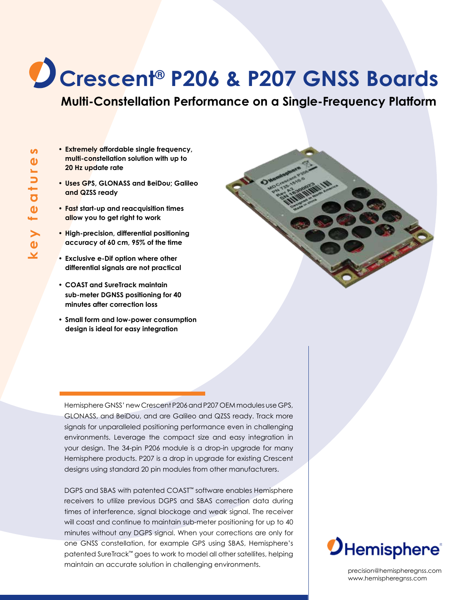# **Crescent® P206 & P207 GNSS Boards**

**Multi-Constellation Performance on a Single-Frequency Platform**

- **• Extremely affordable single frequency, multi-constellation solution with up to 20 Hz update rate**
- **• Uses GPS, GLONASS and BeiDou; Galileo and QZSS ready**
- **• Fast start-up and reacquisition times allow you to get right to work**
- **• High-precision, differential positioning accuracy of 60 cm, 95% of the time**
- **• Exclusive e-Dif option where other differential signals are not practical**
- **• COAST and SureTrack maintain sub-meter DGNSS positioning for 40 minutes after correction loss**
- **• Small form and low-power consumption design is ideal for easy integration**

Hemisphere GNSS' new Crescent P206 and P207 OEM modules use GPS, GLONASS, and BeiDou, and are Galileo and QZSS ready. Track more signals for unparalleled positioning performance even in challenging environments. Leverage the compact size and easy integration in your design. The 34-pin P206 module is a drop-in upgrade for many Hemisphere products. P207 is a drop in upgrade for existing Crescent designs using standard 20 pin modules from other manufacturers.

DGPS and SBAS with patented COAST™ software enables Hemisphere receivers to utilize previous DGPS and SBAS correction data during times of interference, signal blockage and weak signal. The receiver will coast and continue to maintain sub-meter positioning for up to 40 minutes without any DGPS signal. When your corrections are only for one GNSS constellation, for example GPS using SBAS, Hemisphere's patented SureTrack™ goes to work to model all other satellites, helping maintain an accurate solution in challenging environments.

 $\boldsymbol{D}$ Hemisphere<sup>®</sup>

precision@hemispheregnss.com www.hemispheregnss.com